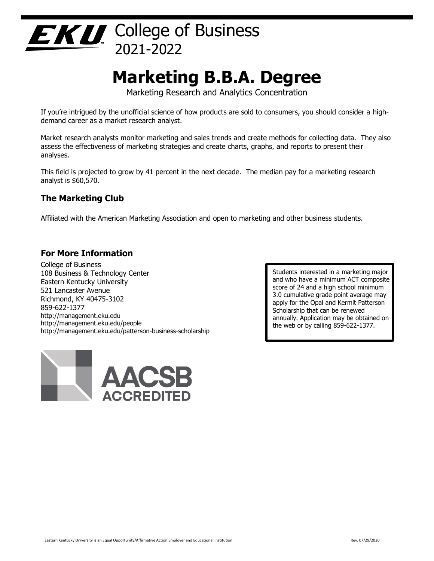

# **Marketing B.B.A. Degree**

Marketing Research and Analytics Concentration

If you're intrigued by the unofficial science of how products are sold to consumers, you should consider a highdemand career as a market research analyst.

Market research analysts monitor marketing and sales trends and create methods for collecting data. They also assess the effectiveness of marketing strategies and create charts, graphs, and reports to present their analyses.

This field is projected to grow by 41 percent in the next decade. The median pay for a marketing research analyst is \$60,570.

# **The Marketing Club**

Affiliated with the American Marketing Association and open to marketing and other business students.

### **For More Information**

College of Business 108 Business & Technology Center Eastern Kentucky University 521 Lancaster Avenue Richmond, KY 40475-3102 859-622-1377 http://management.eku.edu http://management.eku.edu/people http://management.eku.edu/patterson-business-scholarship



Students interested in a marketing major and who have a minimum ACT composite score of 24 and a high school minimum 3.0 cumulative grade point average may apply for the Opal and Kermit Patterson Scholarship that can be renewed annually. Application may be obtained on the web or by calling 859-622-1377.